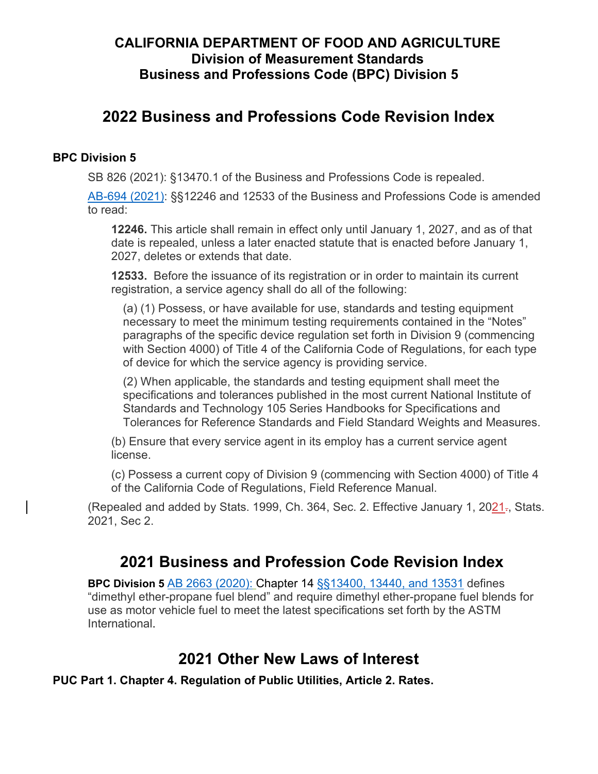## **CALIFORNIA DEPARTMENT OF FOOD AND AGRICULTURE Division of Measurement Standards Business and Professions Code (BPC) Division 5**

# **2022 Business and Professions Code Revision Index**

#### **BPC Division 5**

[SB 826](https://leginfo.legislature.ca.gov/faces/billNavClient.xhtml?bill_id=202120220SB826) (2021): §13470.1 of the Business and Professions Code is repealed.

[AB-694](https://leginfo.legislature.ca.gov/faces/billNavClient.xhtml?bill_id=202120220AB694) (2021): §§12246 and 12533 of the Business and Professions Code is amended to read:

**12246.** This article shall remain in effect only until January 1, 2027, and as of that date is repealed, unless a later enacted statute that is enacted before January 1, 2027, deletes or extends that date.

**12533.** Before the issuance of its registration or in order to maintain its current registration, a service agency shall do all of the following:

(a) (1) Possess, or have available for use, standards and testing equipment necessary to meet the minimum testing requirements contained in the "Notes" paragraphs of the specific device regulation set forth in Division 9 (commencing with Section 4000) of Title 4 of the California Code of Regulations, for each type of device for which the service agency is providing service.

(2) When applicable, the standards and testing equipment shall meet the specifications and tolerances published in the most current National Institute of Standards and Technology 105 Series Handbooks for Specifications and Tolerances for Reference Standards and Field Standard Weights and Measures.

(b) Ensure that every service agent in its employ has a current service agent license.

(c) Possess a current copy of Division 9 (commencing with Section 4000) of Title 4 of the California Code of Regulations, Field Reference Manual.

(Repealed and added by Stats. 1999, Ch. 364, Sec. 2. Effective January 1,  $2021<sub>z</sub>$ , Stats. 2021, Sec 2.

## **2021 Business and Profession Code Revision Index**

**BPC Division 5** AB [2663](https://leginfo.legislature.ca.gov/faces/billNavClient.xhtml?bill_id=201920200AB2663) (2020): Chapter 14 §[§13400, 13440, and 13531](http://leginfo.legislature.ca.gov/faces/codes_displayexpandedbranch.xhtml?tocCode=BPC&division=5.&title=&part=&chapter=14.&article=) defines "dimethyl ether-propane fuel blend" and require dimethyl ether-propane fuel blends for use as motor vehicle fuel to meet the latest specifications set forth by the ASTM International.

# **2021 Other New Laws of Interest**

**PUC Part 1. Chapter 4. Regulation of Public Utilities, Article 2. Rates.**